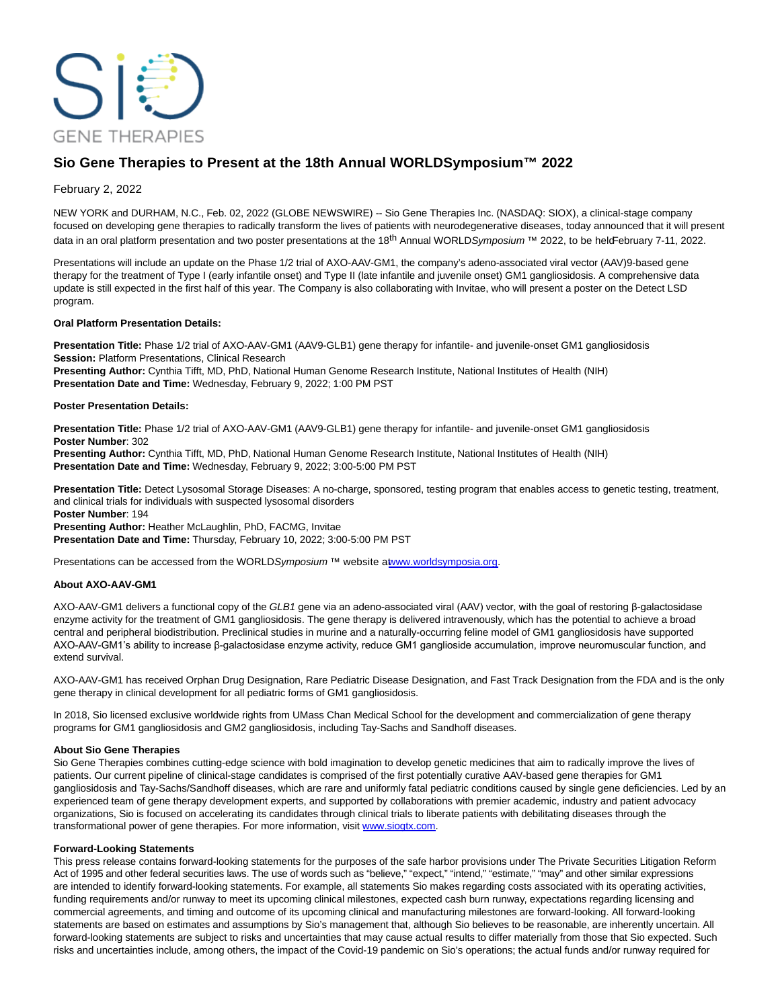

# **Sio Gene Therapies to Present at the 18th Annual WORLDSymposium™ 2022**

## February 2, 2022

NEW YORK and DURHAM, N.C., Feb. 02, 2022 (GLOBE NEWSWIRE) -- Sio Gene Therapies Inc. (NASDAQ: SIOX), a clinical-stage company focused on developing gene therapies to radically transform the lives of patients with neurodegenerative diseases, today announced that it will present data in an oral platform presentation and two poster presentations at the 18<sup>th</sup> Annual WORLDSymposium<sup>™</sup> 2022, to be held February 7-11, 2022.

Presentations will include an update on the Phase 1/2 trial of AXO-AAV-GM1, the company's adeno-associated viral vector (AAV)9-based gene therapy for the treatment of Type I (early infantile onset) and Type II (late infantile and juvenile onset) GM1 gangliosidosis. A comprehensive data update is still expected in the first half of this year. The Company is also collaborating with Invitae, who will present a poster on the Detect LSD program.

### **Oral Platform Presentation Details:**

**Presentation Title:** Phase 1/2 trial of AXO-AAV-GM1 (AAV9-GLB1) gene therapy for infantile- and juvenile-onset GM1 gangliosidosis **Session:** Platform Presentations, Clinical Research

**Presenting Author:** Cynthia Tifft, MD, PhD, National Human Genome Research Institute, National Institutes of Health (NIH) **Presentation Date and Time:** Wednesday, February 9, 2022; 1:00 PM PST

#### **Poster Presentation Details:**

**Presentation Title:** Phase 1/2 trial of AXO-AAV-GM1 (AAV9-GLB1) gene therapy for infantile- and juvenile-onset GM1 gangliosidosis **Poster Number**: 302

**Presenting Author:** Cynthia Tifft, MD, PhD, National Human Genome Research Institute, National Institutes of Health (NIH) **Presentation Date and Time:** Wednesday, February 9, 2022; 3:00-5:00 PM PST

**Presentation Title:** Detect Lysosomal Storage Diseases: A no-charge, sponsored, testing program that enables access to genetic testing, treatment, and clinical trials for individuals with suspected lysosomal disorders

**Poster Number**: 194

**Presenting Author:** Heather McLaughlin, PhD, FACMG, Invitae **Presentation Date and Time:** Thursday, February 10, 2022; 3:00-5:00 PM PST

Presentations can be accessed from the WORLDSymposium ™ website atwww.worldsymposia.org.

### **About AXO-AAV-GM1**

AXO-AAV-GM1 delivers a functional copy of the GLB1 gene via an adeno-associated viral (AAV) vector, with the goal of restoring β-galactosidase enzyme activity for the treatment of GM1 gangliosidosis. The gene therapy is delivered intravenously, which has the potential to achieve a broad central and peripheral biodistribution. Preclinical studies in murine and a naturally-occurring feline model of GM1 gangliosidosis have supported AXO-AAV-GM1's ability to increase β-galactosidase enzyme activity, reduce GM1 ganglioside accumulation, improve neuromuscular function, and extend survival.

AXO-AAV-GM1 has received Orphan Drug Designation, Rare Pediatric Disease Designation, and Fast Track Designation from the FDA and is the only gene therapy in clinical development for all pediatric forms of GM1 gangliosidosis.

In 2018, Sio licensed exclusive worldwide rights from UMass Chan Medical School for the development and commercialization of gene therapy programs for GM1 gangliosidosis and GM2 gangliosidosis, including Tay-Sachs and Sandhoff diseases.

### **About Sio Gene Therapies**

Sio Gene Therapies combines cutting-edge science with bold imagination to develop genetic medicines that aim to radically improve the lives of patients. Our current pipeline of clinical-stage candidates is comprised of the first potentially curative AAV-based gene therapies for GM1 gangliosidosis and Tay-Sachs/Sandhoff diseases, which are rare and uniformly fatal pediatric conditions caused by single gene deficiencies. Led by an experienced team of gene therapy development experts, and supported by collaborations with premier academic, industry and patient advocacy organizations, Sio is focused on accelerating its candidates through clinical trials to liberate patients with debilitating diseases through the transformational power of gene therapies. For more information, visit [www.siogtx.com.](https://www.globenewswire.com/Tracker?data=hyLVLVJBHjsIm3YBt2IjgMfX46OI6dMXpuKzxHqvmHy3WF1Vcz06rER-8tjhCU8tHjpLus3kboZHzypGuAZMgA==)

### **Forward-Looking Statements**

This press release contains forward-looking statements for the purposes of the safe harbor provisions under The Private Securities Litigation Reform Act of 1995 and other federal securities laws. The use of words such as "believe," "expect," "intend," "estimate," "may" and other similar expressions are intended to identify forward-looking statements. For example, all statements Sio makes regarding costs associated with its operating activities, funding requirements and/or runway to meet its upcoming clinical milestones, expected cash burn runway, expectations regarding licensing and commercial agreements, and timing and outcome of its upcoming clinical and manufacturing milestones are forward-looking. All forward-looking statements are based on estimates and assumptions by Sio's management that, although Sio believes to be reasonable, are inherently uncertain. All forward-looking statements are subject to risks and uncertainties that may cause actual results to differ materially from those that Sio expected. Such risks and uncertainties include, among others, the impact of the Covid-19 pandemic on Sio's operations; the actual funds and/or runway required for